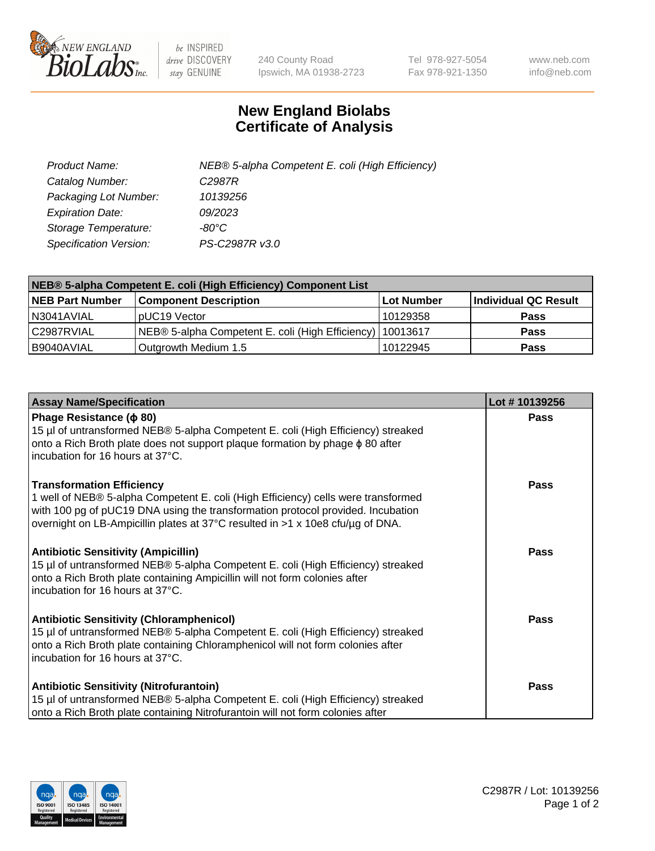

 $be$  INSPIRED drive DISCOVERY stay GENUINE

240 County Road Ipswich, MA 01938-2723 Tel 978-927-5054 Fax 978-921-1350 www.neb.com info@neb.com

## **New England Biolabs Certificate of Analysis**

| Product Name:                 | NEB® 5-alpha Competent E. coli (High Efficiency) |
|-------------------------------|--------------------------------------------------|
| Catalog Number:               | C <sub>2987</sub> R                              |
| Packaging Lot Number:         | 10139256                                         |
| <b>Expiration Date:</b>       | 09/2023                                          |
| Storage Temperature:          | -80°C                                            |
| <b>Specification Version:</b> | PS-C2987R v3.0                                   |

| NEB® 5-alpha Competent E. coli (High Efficiency) Component List |                                                             |            |                      |  |
|-----------------------------------------------------------------|-------------------------------------------------------------|------------|----------------------|--|
| <b>NEB Part Number</b>                                          | <b>Component Description</b>                                | Lot Number | Individual QC Result |  |
| N3041AVIAL                                                      | pUC19 Vector                                                | 10129358   | <b>Pass</b>          |  |
| C2987RVIAL                                                      | NEB® 5-alpha Competent E. coli (High Efficiency)   10013617 |            | <b>Pass</b>          |  |
| B9040AVIAL                                                      | Outgrowth Medium 1.5                                        | 10122945   | <b>Pass</b>          |  |

| <b>Assay Name/Specification</b>                                                                                                                                                                                                                                                            | Lot #10139256 |
|--------------------------------------------------------------------------------------------------------------------------------------------------------------------------------------------------------------------------------------------------------------------------------------------|---------------|
| Phage Resistance ( $\phi$ 80)<br>15 µl of untransformed NEB® 5-alpha Competent E. coli (High Efficiency) streaked<br>onto a Rich Broth plate does not support plaque formation by phage $\phi$ 80 after<br>incubation for 16 hours at 37°C.                                                | Pass          |
| <b>Transformation Efficiency</b><br>1 well of NEB® 5-alpha Competent E. coli (High Efficiency) cells were transformed<br>with 100 pg of pUC19 DNA using the transformation protocol provided. Incubation<br>overnight on LB-Ampicillin plates at 37°C resulted in >1 x 10e8 cfu/µg of DNA. | Pass          |
| <b>Antibiotic Sensitivity (Ampicillin)</b><br>15 µl of untransformed NEB® 5-alpha Competent E. coli (High Efficiency) streaked<br>onto a Rich Broth plate containing Ampicillin will not form colonies after<br>incubation for 16 hours at 37°C.                                           | <b>Pass</b>   |
| <b>Antibiotic Sensitivity (Chloramphenicol)</b><br>15 µl of untransformed NEB® 5-alpha Competent E. coli (High Efficiency) streaked<br>onto a Rich Broth plate containing Chloramphenicol will not form colonies after<br>incubation for 16 hours at 37°C.                                 | Pass          |
| <b>Antibiotic Sensitivity (Nitrofurantoin)</b><br>15 µl of untransformed NEB® 5-alpha Competent E. coli (High Efficiency) streaked<br>onto a Rich Broth plate containing Nitrofurantoin will not form colonies after                                                                       | Pass          |